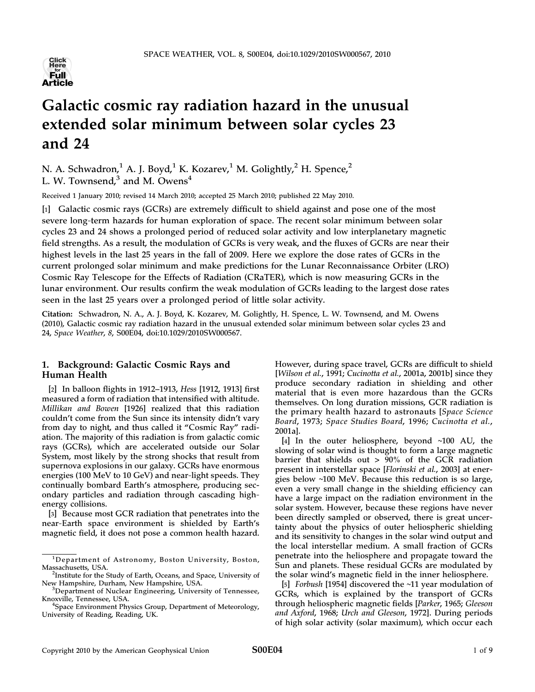

# Galactic cosmic ray radiation hazard in the unusual extended solar minimum between solar cycles 23 and 24

N. A. Schwadron,<sup>1</sup> A. J. Boyd,<sup>1</sup> K. Kozarev,<sup>1</sup> M. Golightly,<sup>2</sup> H. Spence,<sup>2</sup> L. W. Townsend, $3$  and M. Owens<sup>4</sup>

Received 1 January 2010; revised 14 March 2010; accepted 25 March 2010; published 22 May 2010.

[1] Galactic cosmic rays (GCRs) are extremely difficult to shield against and pose one of the most severe long-term hazards for human exploration of space. The recent solar minimum between solar cycles 23 and 24 shows a prolonged period of reduced solar activity and low interplanetary magnetic field strengths. As a result, the modulation of GCRs is very weak, and the fluxes of GCRs are near their highest levels in the last 25 years in the fall of 2009. Here we explore the dose rates of GCRs in the current prolonged solar minimum and make predictions for the Lunar Reconnaissance Orbiter (LRO) Cosmic Ray Telescope for the Effects of Radiation (CRaTER), which is now measuring GCRs in the lunar environment. Our results confirm the weak modulation of GCRs leading to the largest dose rates seen in the last 25 years over a prolonged period of little solar activity.

Citation: Schwadron, N. A., A. J. Boyd, K. Kozarev, M. Golightly, H. Spence, L. W. Townsend, and M. Owens (2010), Galactic cosmic ray radiation hazard in the unusual extended solar minimum between solar cycles 23 and 24, Space Weather, 8, S00E04, doi:10.1029/2010SW000567.

## 1. Background: Galactic Cosmic Rays and Human Health

[2] In balloon flights in 1912–1913, Hess [1912, 1913] first measured a form of radiation that intensified with altitude. Millikan and Bowen [1926] realized that this radiation couldn't come from the Sun since its intensity didn't vary from day to night, and thus called it "Cosmic Ray" radiation. The majority of this radiation is from galactic comic rays (GCRs), which are accelerated outside our Solar System, most likely by the strong shocks that result from supernova explosions in our galaxy. GCRs have enormous energies (100 MeV to 10 GeV) and near‐light speeds. They continually bombard Earth's atmosphere, producing secondary particles and radiation through cascading high‐ energy collisions.

[3] Because most GCR radiation that penetrates into the near‐Earth space environment is shielded by Earth's magnetic field, it does not pose a common health hazard. However, during space travel, GCRs are difficult to shield [Wilson et al., 1991; Cucinotta et al., 2001a, 2001b] since they produce secondary radiation in shielding and other material that is even more hazardous than the GCRs themselves. On long duration missions, GCR radiation is the primary health hazard to astronauts [Space Science Board, 1973; Space Studies Board, 1996; Cucinotta et al., 2001a].

[4] In the outer heliosphere, beyond ∼100 AU, the slowing of solar wind is thought to form a large magnetic barrier that shields out > 90% of the GCR radiation present in interstellar space [Florinski et al., 2003] at energies below ∼100 MeV. Because this reduction is so large, even a very small change in the shielding efficiency can have a large impact on the radiation environment in the solar system. However, because these regions have never been directly sampled or observed, there is great uncertainty about the physics of outer heliospheric shielding and its sensitivity to changes in the solar wind output and the local interstellar medium. A small fraction of GCRs penetrate into the heliosphere and propagate toward the Sun and planets. These residual GCRs are modulated by the solar wind's magnetic field in the inner heliosphere.

[5] Forbush [1954] discovered the ∼11 year modulation of GCRs, which is explained by the transport of GCRs through heliospheric magnetic fields [Parker, 1965; Gleeson and Axford, 1968; Urch and Gleeson, 1972]. During periods of high solar activity (solar maximum), which occur each

<sup>&</sup>lt;sup>1</sup>Department of Astronomy, Boston University, Boston,

Massachusetts, USA.<br><sup>2</sup>Institute for the Study of Earth, Oceans, and Space, University of New Hampshire, Durham, New Hampshire, USA.

<sup>&</sup>lt;sup>3</sup>Department of Nuclear Engineering, University of Tennessee, Knoxville, Tennessee, USA. <sup>4</sup>

<sup>&</sup>lt;sup>4</sup>Space Environment Physics Group, Department of Meteorology, University of Reading, Reading, UK.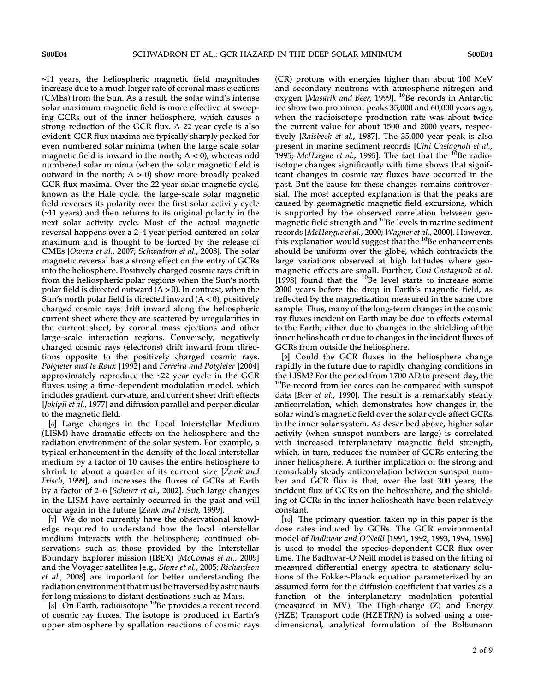∼11 years, the heliospheric magnetic field magnitudes increase due to a much larger rate of coronal mass ejections (CMEs) from the Sun. As a result, the solar wind's intense solar maximum magnetic field is more effective at sweeping GCRs out of the inner heliosphere, which causes a strong reduction of the GCR flux. A 22 year cycle is also evident: GCR flux maxima are typically sharply peaked for even numbered solar minima (when the large scale solar magnetic field is inward in the north;  $A < 0$ ), whereas odd numbered solar minima (when the solar magnetic field is outward in the north;  $A > 0$ ) show more broadly peaked GCR flux maxima. Over the 22 year solar magnetic cycle, known as the Hale cycle, the large‐scale solar magnetic field reverses its polarity over the first solar activity cycle (∼11 years) and then returns to its original polarity in the next solar activity cycle. Most of the actual magnetic reversal happens over a 2–4 year period centered on solar maximum and is thought to be forced by the release of CMEs [Owens et al., 2007; Schwadron et al., 2008]. The solar magnetic reversal has a strong effect on the entry of GCRs into the heliosphere. Positively charged cosmic rays drift in from the heliospheric polar regions when the Sun's north polar field is directed outward  $(A > 0)$ . In contrast, when the Sun's north polar field is directed inward  $(A < 0)$ , positively charged cosmic rays drift inward along the heliospheric current sheet where they are scattered by irregularities in the current sheet, by coronal mass ejections and other large-scale interaction regions. Conversely, negatively charged cosmic rays (electrons) drift inward from directions opposite to the positively charged cosmic rays. Potgieter and le Roux [1992] and Ferreira and Potgieter [2004] approximately reproduce the ∼22 year cycle in the GCR fluxes using a time‐dependent modulation model, which includes gradient, curvature, and current sheet drift effects [Jokipii et al., 1977] and diffusion parallel and perpendicular to the magnetic field.

[6] Large changes in the Local Interstellar Medium (LISM) have dramatic effects on the heliosphere and the radiation environment of the solar system. For example, a typical enhancement in the density of the local interstellar medium by a factor of 10 causes the entire heliosphere to shrink to about a quarter of its current size [Zank and Frisch, 1999], and increases the fluxes of GCRs at Earth by a factor of 2–6 [Scherer et al., 2002]. Such large changes in the LISM have certainly occurred in the past and will occur again in the future [Zank and Frisch, 1999].

[7] We do not currently have the observational knowledge required to understand how the local interstellar medium interacts with the heliosphere; continued observations such as those provided by the Interstellar Boundary Explorer mission (IBEX) [McComas et al., 2009] and the Voyager satellites [e.g., Stone et al., 2005; Richardson et al., 2008] are important for better understanding the radiation environment that must be traversed by astronauts for long missions to distant destinations such as Mars.

[8] On Earth, radioisotope  $10B$ Be provides a recent record of cosmic ray fluxes. The isotope is produced in Earth's upper atmosphere by spallation reactions of cosmic rays

(CR) protons with energies higher than about 100 MeV and secondary neutrons with atmospheric nitrogen and oxygen [Masarik and Beer, 1999]. <sup>10</sup>Be records in Antarctic ice show two prominent peaks 35,000 and 60,000 years ago, when the radioisotope production rate was about twice the current value for about 1500 and 2000 years, respectively [Raisbeck et al., 1987]. The 35,000 year peak is also present in marine sediment records [Cini Castagnoli et al., 1995; McHargue et al., 1995]. The fact that the  $^{10}$ Be radioisotope changes significantly with time shows that significant changes in cosmic ray fluxes have occurred in the past. But the cause for these changes remains controversial. The most accepted explanation is that the peaks are caused by geomagnetic magnetic field excursions, which is supported by the observed correlation between geomagnetic field strength and <sup>10</sup>Be levels in marine sediment records [McHargue et al., 2000; Wagner et al., 2000]. However, this explanation would suggest that the  $10B$  eenhancements should be uniform over the globe, which contradicts the large variations observed at high latitudes where geomagnetic effects are small. Further, Cini Castagnoli et al. [1998] found that the  $^{10}$ Be level starts to increase some 2000 years before the drop in Earth's magnetic field, as reflected by the magnetization measured in the same core sample. Thus, many of the long-term changes in the cosmic ray fluxes incident on Earth may be due to effects external to the Earth; either due to changes in the shielding of the inner heliosheath or due to changes in the incident fluxes of GCRs from outside the heliosphere.

[9] Could the GCR fluxes in the heliosphere change rapidly in the future due to rapidly changing conditions in the LISM? For the period from 1700 AD to present-day, the  $^{10}$ Be record from ice cores can be compared with sunspot data [Beer et al., 1990]. The result is a remarkably steady anticorrelation, which demonstrates how changes in the solar wind's magnetic field over the solar cycle affect GCRs in the inner solar system. As described above, higher solar activity (when sunspot numbers are large) is correlated with increased interplanetary magnetic field strength, which, in turn, reduces the number of GCRs entering the inner heliosphere. A further implication of the strong and remarkably steady anticorrelation between sunspot number and GCR flux is that, over the last 300 years, the incident flux of GCRs on the heliosphere, and the shielding of GCRs in the inner heliosheath have been relatively constant.

[10] The primary question taken up in this paper is the dose rates induced by GCRs. The GCR environmental model of Badhwar and O'Neill [1991, 1992, 1993, 1994, 1996] is used to model the species‐dependent GCR flux over time. The Badhwar‐O'Neill model is based on the fitting of measured differential energy spectra to stationary solutions of the Fokker‐Planck equation parameterized by an assumed form for the diffusion coefficient that varies as a function of the interplanetary modulation potential (measured in MV). The High‐charge (Z) and Energy (HZE) Transport code (HZETRN) is solved using a one‐ dimensional, analytical formulation of the Boltzmann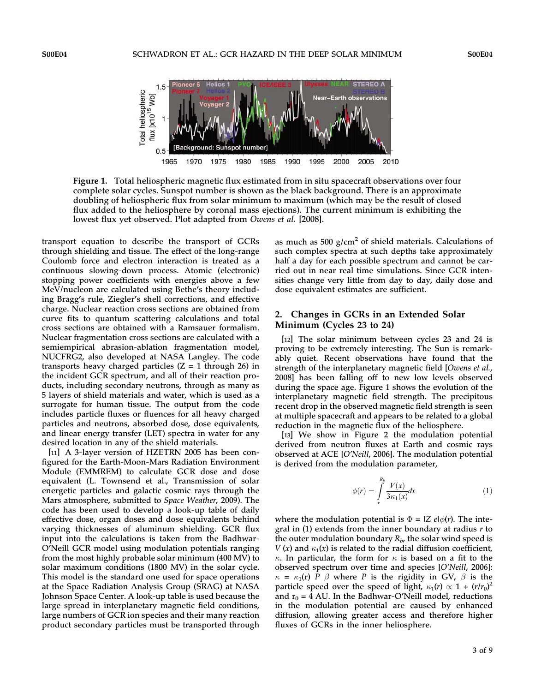

Figure 1. Total heliospheric magnetic flux estimated from in situ spacecraft observations over four complete solar cycles. Sunspot number is shown as the black background. There is an approximate doubling of heliospheric flux from solar minimum to maximum (which may be the result of closed flux added to the heliosphere by coronal mass ejections). The current minimum is exhibiting the lowest flux yet observed. Plot adapted from Owens et al. [2008].

transport equation to describe the transport of GCRs through shielding and tissue. The effect of the long‐range Coulomb force and electron interaction is treated as a continuous slowing‐down process. Atomic (electronic) stopping power coefficients with energies above a few MeV/nucleon are calculated using Bethe's theory including Bragg's rule, Ziegler's shell corrections, and effective charge. Nuclear reaction cross sections are obtained from curve fits to quantum scattering calculations and total cross sections are obtained with a Ramsauer formalism. Nuclear fragmentation cross sections are calculated with a semiempirical abrasion‐ablation fragmentation model, NUCFRG2, also developed at NASA Langley. The code transports heavy charged particles  $(Z = 1)$  through 26) in the incident GCR spectrum, and all of their reaction products, including secondary neutrons, through as many as 5 layers of shield materials and water, which is used as a surrogate for human tissue. The output from the code includes particle fluxes or fluences for all heavy charged particles and neutrons, absorbed dose, dose equivalents, and linear energy transfer (LET) spectra in water for any desired location in any of the shield materials.

[11] A 3-layer version of HZETRN 2005 has been configured for the Earth‐Moon‐Mars Radiation Environment Module (EMMREM) to calculate GCR dose and dose equivalent (L. Townsend et al., Transmission of solar energetic particles and galactic cosmic rays through the Mars atmosphere, submitted to Space Weather, 2009). The code has been used to develop a look‐up table of daily effective dose, organ doses and dose equivalents behind varying thicknesses of aluminum shielding. GCR flux input into the calculations is taken from the Badhwar-O'Neill GCR model using modulation potentials ranging from the most highly probable solar minimum (400 MV) to solar maximum conditions (1800 MV) in the solar cycle. This model is the standard one used for space operations at the Space Radiation Analysis Group (SRAG) at NASA Johnson Space Center. A look‐up table is used because the large spread in interplanetary magnetic field conditions, large numbers of GCR ion species and their many reaction product secondary particles must be transported through

as much as  $500$  g/cm<sup>2</sup> of shield materials. Calculations of such complex spectra at such depths take approximately half a day for each possible spectrum and cannot be carried out in near real time simulations. Since GCR intensities change very little from day to day, daily dose and dose equivalent estimates are sufficient.

### 2. Changes in GCRs in an Extended Solar Minimum (Cycles 23 to 24)

[12] The solar minimum between cycles 23 and 24 is proving to be extremely interesting. The Sun is remarkably quiet. Recent observations have found that the strength of the interplanetary magnetic field [Owens et al., 2008] has been falling off to new low levels observed during the space age. Figure 1 shows the evolution of the interplanetary magnetic field strength. The precipitous recent drop in the observed magnetic field strength is seen at multiple spacecraft and appears to be related to a global reduction in the magnetic flux of the heliosphere.

[13] We show in Figure 2 the modulation potential derived from neutron fluxes at Earth and cosmic rays observed at ACE [O'Neill, 2006]. The modulation potential is derived from the modulation parameter,

$$
\phi(r) = \int_{r}^{R_b} \frac{V(x)}{3\kappa_1(x)} dx
$$
\n(1)

where the modulation potential is  $\Phi = |Z|e/\phi(r)$ . The integral in (1) extends from the inner boundary at radius  $r$  to the outer modulation boundary  $R_b$ , the solar wind speed is  $V(x)$  and  $\kappa_1(x)$  is related to the radial diffusion coefficient,  $\kappa$ . In particular, the form for  $\kappa$  is based on a fit to the observed spectrum over time and species [O'Neill, 2006]:  $\kappa = \kappa_1(r)$  P  $\beta$  where P is the rigidity in GV,  $\beta$  is the particle speed over the speed of light,  $\kappa_1(r) \propto 1 + (r/r_0)^2$ and  $r_0$  = 4 AU. In the Badhwar-O'Neill model, reductions in the modulation potential are caused by enhanced diffusion, allowing greater access and therefore higher fluxes of GCRs in the inner heliosphere.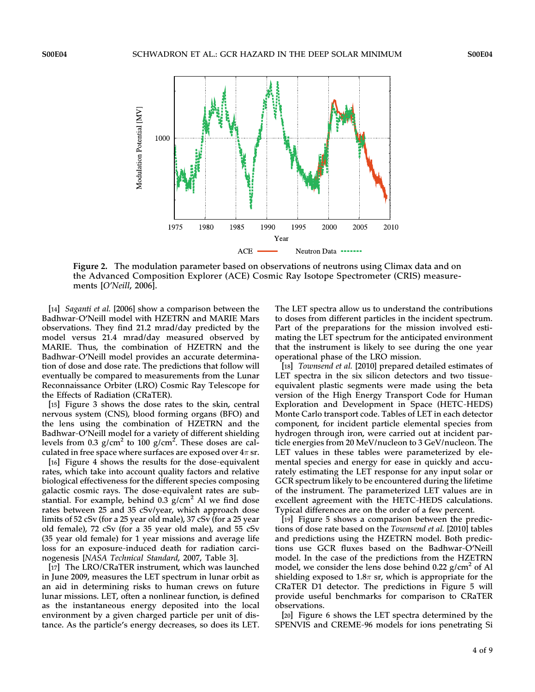

Figure 2. The modulation parameter based on observations of neutrons using Climax data and on the Advanced Composition Explorer (ACE) Cosmic Ray Isotope Spectrometer (CRIS) measurements [O'Neill, 2006].

[14] *Saganti et al.* [2006] show a comparison between the Badhwar‐O'Neill model with HZETRN and MARIE Mars observations. They find 21.2 mrad/day predicted by the model versus 21.4 mrad/day measured observed by MARIE. Thus, the combination of HZETRN and the Badhwar‐O'Neill model provides an accurate determination of dose and dose rate. The predictions that follow will eventually be compared to measurements from the Lunar Reconnaissance Orbiter (LRO) Cosmic Ray Telescope for the Effects of Radiation (CRaTER).

[15] Figure 3 shows the dose rates to the skin, central nervous system (CNS), blood forming organs (BFO) and the lens using the combination of HZETRN and the Badhwar‐O'Neill model for a variety of different shielding levels from 0.3  $g/cm^2$  to 100  $g/cm^2$ . These doses are calculated in free space where surfaces are exposed over  $4\pi$  sr.

[16] Figure 4 shows the results for the dose-equivalent rates, which take into account quality factors and relative biological effectiveness for the different species composing galactic cosmic rays. The dose‐equivalent rates are substantial. For example, behind  $0.3$  g/cm<sup>2</sup> Al we find dose rates between 25 and 35 cSv/year, which approach dose limits of 52 cSv (for a 25 year old male), 37 cSv (for a 25 year old female), 72 cSv (for a 35 year old male), and 55 cSv (35 year old female) for 1 year missions and average life loss for an exposure‐induced death for radiation carcinogenesis [NASA Technical Standard, 2007, Table 3].

[17] The LRO/CRaTER instrument, which was launched in June 2009, measures the LET spectrum in lunar orbit as an aid in determining risks to human crews on future lunar missions. LET, often a nonlinear function, is defined as the instantaneous energy deposited into the local environment by a given charged particle per unit of distance. As the particle's energy decreases, so does its LET.

The LET spectra allow us to understand the contributions to doses from different particles in the incident spectrum. Part of the preparations for the mission involved estimating the LET spectrum for the anticipated environment that the instrument is likely to see during the one year operational phase of the LRO mission.

[18] *Townsend et al.* [2010] prepared detailed estimates of LET spectra in the six silicon detectors and two tissueequivalent plastic segments were made using the beta version of the High Energy Transport Code for Human Exploration and Development in Space (HETC‐HEDS) Monte Carlo transport code. Tables of LET in each detector component, for incident particle elemental species from hydrogen through iron, were carried out at incident particle energies from 20 MeV/nucleon to 3 GeV/nucleon. The LET values in these tables were parameterized by elemental species and energy for ease in quickly and accurately estimating the LET response for any input solar or GCR spectrum likely to be encountered during the lifetime of the instrument. The parameterized LET values are in excellent agreement with the HETC‐HEDS calculations. Typical differences are on the order of a few percent.

[19] Figure 5 shows a comparison between the predictions of dose rate based on the Townsend et al. [2010] tables and predictions using the HZETRN model. Both predictions use GCR fluxes based on the Badhwar‐O'Neill model. In the case of the predictions from the HZETRN model, we consider the lens dose behind  $0.22$  g/cm<sup>2</sup> of Al shielding exposed to 1.8 $\pi$  sr, which is appropriate for the CRaTER D1 detector. The predictions in Figure 5 will provide useful benchmarks for comparison to CRaTER observations.

[20] Figure 6 shows the LET spectra determined by the SPENVIS and CREME‐96 models for ions penetrating Si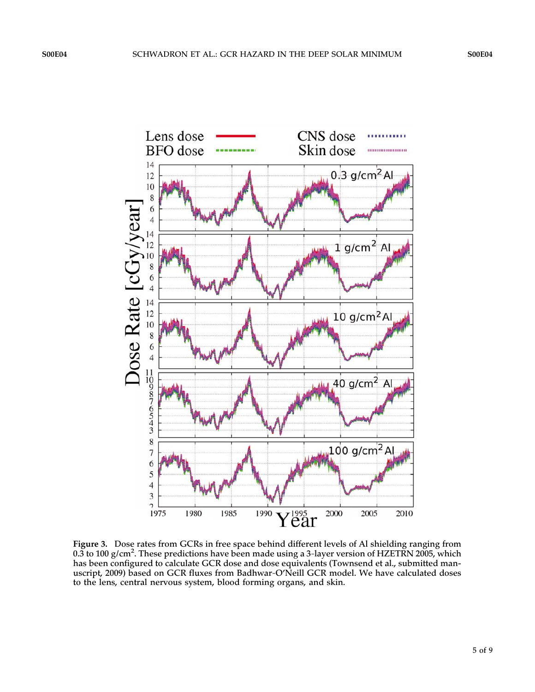

Figure 3. Dose rates from GCRs in free space behind different levels of Al shielding ranging from 0.3 to 100 g/cm<sup>2</sup>. These predictions have been made using a 3-layer version of HZETRN 2005, which has been configured to calculate GCR dose and dose equivalents (Townsend et al., submitted manuscript, 2009) based on GCR fluxes from Badhwar-O'Neill GCR model. We have calculated doses to the lens, central nervous system, blood forming organs, and skin.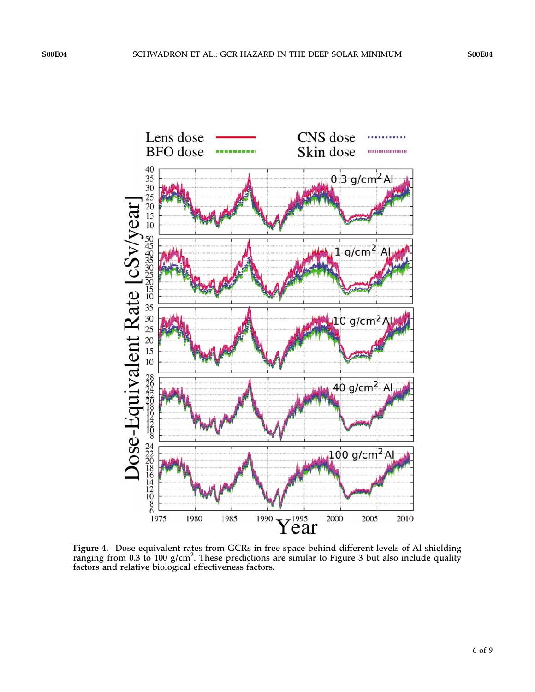

Figure 4. Dose equivalent rates from GCRs in free space behind different levels of Al shielding ranging from 0.3 to 100  $g/cm<sup>2</sup>$ . These predictions are similar to Figure 3 but also include quality factors and relative biological effectiveness factors.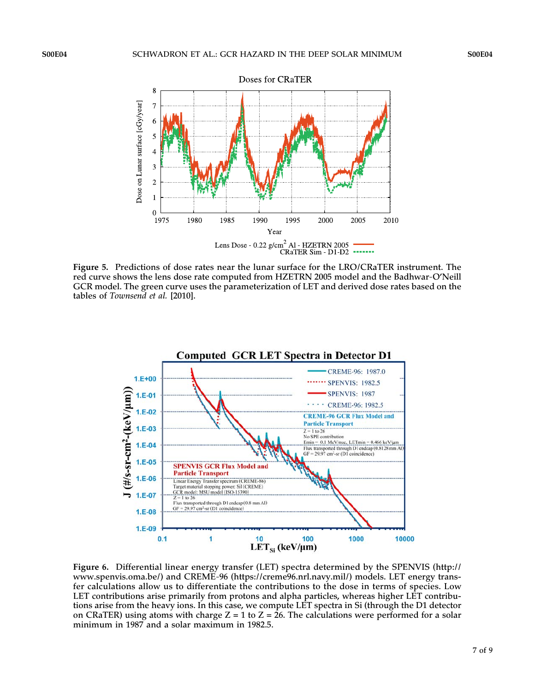

Figure 5. Predictions of dose rates near the lunar surface for the LRO/CRaTER instrument. The red curve shows the lens dose rate computed from HZETRN 2005 model and the Badhwar‐O'Neill GCR model. The green curve uses the parameterization of LET and derived dose rates based on the tables of Townsend et al. [2010].



Figure 6. Differential linear energy transfer (LET) spectra determined by the SPENVIS (http:// www.spenvis.oma.be/) and CREME‐96 (https://creme96.nrl.navy.mil/) models. LET energy transfer calculations allow us to differentiate the contributions to the dose in terms of species. Low LET contributions arise primarily from protons and alpha particles, whereas higher LET contributions arise from the heavy ions. In this case, we compute LET spectra in Si (through the D1 detector on CRaTER) using atoms with charge  $Z = 1$  to  $Z = 26$ . The calculations were performed for a solar minimum in 1987 and a solar maximum in 1982.5.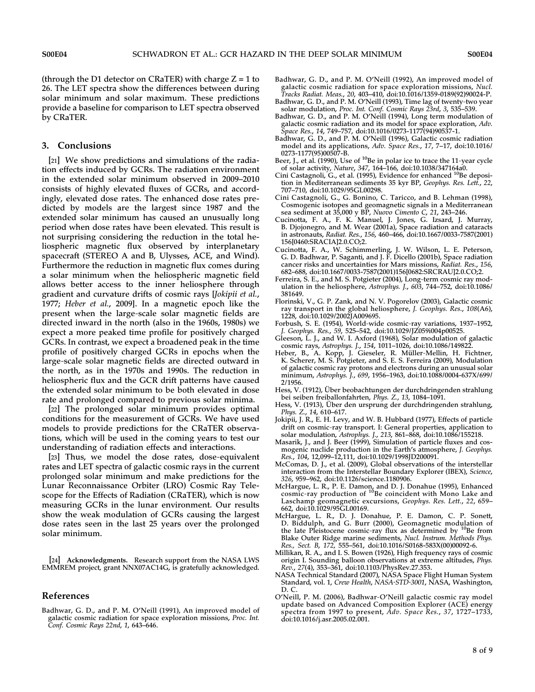(through the D1 detector on CRaTER) with charge  $Z = 1$  to 26. The LET spectra show the differences between during solar minimum and solar maximum. These predictions provide a baseline for comparison to LET spectra observed by CRaTER.

#### 3. Conclusions

[21] We show predictions and simulations of the radiation effects induced by GCRs. The radiation environment in the extended solar minimum observed in 2009–2010 consists of highly elevated fluxes of GCRs, and accordingly, elevated dose rates. The enhanced dose rates predicted by models are the largest since 1987 and the extended solar minimum has caused an unusually long period when dose rates have been elevated. This result is not surprising considering the reduction in the total heliospheric magnetic flux observed by interplanetary spacecraft (STEREO A and B, Ulysses, ACE, and Wind). Furthermore the reduction in magnetic flux comes during a solar minimum when the heliospheric magnetic field allows better access to the inner heliosphere through gradient and curvature drifts of cosmic rays [Jokipii et al., 1977; Heber et al., 2009]. In a magnetic epoch like the present when the large‐scale solar magnetic fields are directed inward in the north (also in the 1960s, 1980s) we expect a more peaked time profile for positively charged GCRs. In contrast, we expect a broadened peak in the time profile of positively charged GCRs in epochs when the large‐scale solar magnetic fields are directed outward in the north, as in the 1970s and 1990s. The reduction in heliospheric flux and the GCR drift patterns have caused the extended solar minimum to be both elevated in dose rate and prolonged compared to previous solar minima.

[22] The prolonged solar minimum provides optimal conditions for the measurement of GCRs. We have used models to provide predictions for the CRaTER observations, which will be used in the coming years to test our understanding of radiation effects and interactions.

[23] Thus, we model the dose rates, dose-equivalent rates and LET spectra of galactic cosmic rays in the current prolonged solar minimum and make predictions for the Lunar Reconnaissance Orbiter (LRO) Cosmic Ray Telescope for the Effects of Radiation (CRaTER), which is now measuring GCRs in the lunar environment. Our results show the weak modulation of GCRs causing the largest dose rates seen in the last 25 years over the prolonged solar minimum.

[24] Acknowledgments. Research support from the NASA LWS EMMREM project, grant NNX07AC14G, is gratefully acknowledged.

## References

Badhwar, G. D., and P. M. O'Neill (1991), An improved model of galactic cosmic radiation for space exploration missions, Proc. Int. Conf. Cosmic Rays 22nd, 1, 643–646.

- Badhwar, G. D., and P. M. O'Neill (1992), An improved model of galactic cosmic radiation for space exploration missions*, Nucl.*<br>T*racks Radiat. Meas., 20, 4*03–410, doi:10.1016/1359-0189(92)90024-P.
- Badhwar, G. D., and P. M. O'Neill (1993), Time lag of twenty‐two year solar modulation, Proc. Int. Conf. Cosmic Rays 23rd, 3, 535–539.
- Badhwar, G. D., and P. M. O'Neill (1994), Long term modulation of galactic cosmic radiation and its model for space exploration, Adv. Space Res., 14, 749–757, doi:10.1016/0273-1177(94)90537-1.
- Badhwar, G. D., and P. M. O'Neill (1996), Galactic cosmic radiation model and its applications, Adv. Space Res., 17, 7–17, doi:10.1016/ 0273-1177(95)00507-B.
- Beer, J., et al. (1990), Use of  $^{10}$ Be in polar ice to trace the 11-year cycle of solar activity, Nature, 347, 164–166, doi:10.1038/347164a0.
- Cini Castagnoli, G., et al. (1995), Evidence for enhanced <sup>10</sup>Be deposition in Mediterranean sediments 35 kyr BP, Geophys. Res. Lett., 22, 707–710, doi:10.1029/95GL00298.
- Cini Castagnoli, G., G. Bonino, C. Taricco, and B. Lehman (1998), Cosmogenic isotopes and geomagnetic signals in a Mediterranean sea sediment at 35,000 y BP, Nuovo Cimento C, 21, 243–246.
- Cucinotta, F. A., F. K. Manuel, J. Jones, G. Izsard, J. Murray, B. Djojonegro, and M. Wear (2001a), Space radiation and cataracts in astronauts, Radiat. Res., 156, 460–466, doi:10.1667/0033-7587(2001) 156[0460:SRACIA]2.0.CO;2.
- Cucinotta, F. A., W. Schimmerling, J. W. Wilson, L. E. Peterson, G. D. Badhwar, P. Saganti, and J. F. Dicello (2001b), Space radiation cancer risks and uncertainties for Mars missions, Radiat. Res., 156, 682–688, doi:10.1667/0033-7587(2001)156[0682:SRCRAU]2.0.CO;2.
- Ferreira, S. E., and M. S. Potgieter (2004), Long-term cosmic ray modulation in the heliosphere, Astrophys. J., 603, 744–752, doi:10.1086/ 381649.
- Florinski, V., G. P. Zank, and N. V. Pogorelov (2003), Galactic cosmic ray transport in the global heliosphere, J. Geophys. Res., 108(A6), 1228, doi:10.1029/2002JA009695.
- Forbush, S. E. (1954), World‐wide cosmic‐ray variations, 1937–1952, J. Geophys. Res., 59, 525–542, doi:10.1029/JZ059i004p00525.
- Gleeson, L. J., and W. I. Axford (1968), Solar modulation of galactic cosmic rays, Astrophys. J., 154, 1011–1026, doi:10.1086/149822.
- Heber, B., A. Kopp, J. Gieseler, R. Müller‐Mellin, H. Fichtner, K. Scherer, M. S. Potgieter, and S. E. S. Ferreira (2009), Modulation of galactic cosmic ray protons and electrons during an unusual solar minimum, Astrophys. J., 699, 1956–1963, doi:10.1088/0004-637X/699/ 2/1956.
- Hess, V. (1912), Über beobachtungen der durchdringenden strahlung bei seiben freiballonfahrten, Phys. Z., 13, 1084-1091.
- Hess, V. (1913), Über den ursprung der durchdringenden strahlung, Phys. Z., 14, 610–617.
- Jokipii, J. R., E. H. Levy, and W. B. Hubbard (1977), Effects of particle drift on cosmic‐ray transport. I: General properties, application to solar modulation, Astrophys. J., 213, 861–868, doi:10.1086/155218.
- Masarik, J., and J. Beer (1999), Simulation of particle fluxes and cosmogenic nuclide production in the Earth's atmosphere, J. Geophys. Res., 104, 12,099–12,111, doi:10.1029/1998JD200091.
- McComas, D. J., et al. (2009), Global observations of the interstellar interaction from the Interstellar Boundary Explorer (IBEX), Science, 326, 959–962, doi:10.1126/science.1180906.
- McHargue, L. R., P. E. Damon, and D. J. Donahue (1995), Enhanced<br>cosmic-ray production of <sup>10</sup>Be coincident with Mono Lake and Laschamp geomagnetic excursions, Geophys. Res. Lett., 22, 659-662, doi:10.1029/95GL00169.
- McHargue, L. R., D. J. Donahue, P. E. Damon, C. P. Sonett, D. Biddulph, and G. Burr (2000), Geomagnetic modulation of the late Pleistocene cosmic-ray flux as determined by  $^{10}$ Be from Blake Outer Ridge marine sediments, Nucl. Instrum. Methods Phys. Res., Sect. B, 172, 555–561, doi:10.1016/S0168-583X(00)00092-6.
- Millikan, R. A., and I. S. Bowen (1926), High frequency rays of cosmic origin I. Sounding balloon observations at extreme altitudes, Phys. Rev., 27(4), 353–361, doi:10.1103/PhysRev.27.353.
- NASA Technical Standard (2007), NASA Space Flight Human System Standard, vol. 1, Crew Health, NASA‐STD‐3001, NASA, Washington, D. C.
- O'Neill, P. M. (2006), Badhwar‐O'Neill galactic cosmic ray model update based on Advanced Composition Explorer (ACE) energy spectra from 1997 to present, Adv. Space Res., 37, 1727–1733, doi:10.1016/j.asr.2005.02.001.